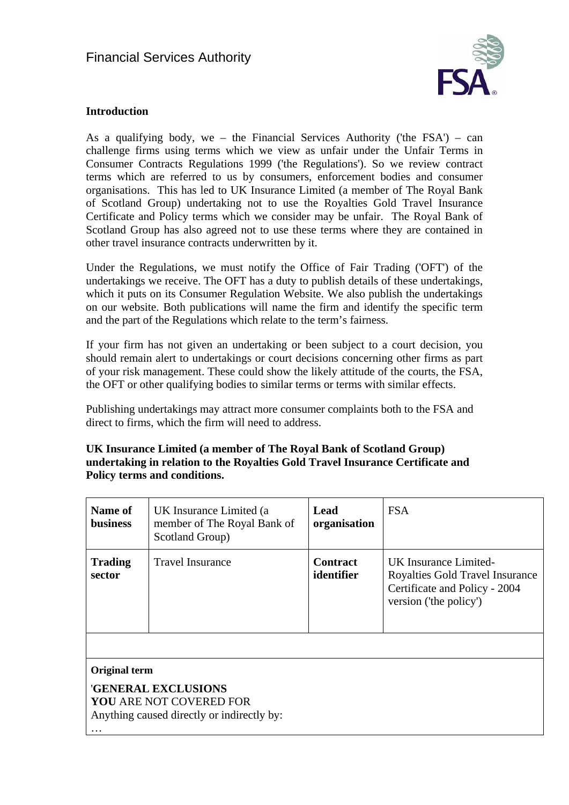

### **Introduction**

As a qualifying body, we – the Financial Services Authority ('the  $FSA'$ ) – can challenge firms using terms which we view as unfair under the Unfair Terms in Consumer Contracts Regulations 1999 ('the Regulations'). So we review contract terms which are referred to us by consumers, enforcement bodies and consumer organisations. This has led to UK Insurance Limited (a member of The Royal Bank of Scotland Group) undertaking not to use the Royalties Gold Travel Insurance Certificate and Policy terms which we consider may be unfair. The Royal Bank of Scotland Group has also agreed not to use these terms where they are contained in other travel insurance contracts underwritten by it.

Under the Regulations, we must notify the Office of Fair Trading ('OFT') of the undertakings we receive. The OFT has a duty to publish details of these undertakings, which it puts on its Consumer Regulation Website. We also publish the undertakings on our website. Both publications will name the firm and identify the specific term and the part of the Regulations which relate to the term's fairness.

If your firm has not given an undertaking or been subject to a court decision, you should remain alert to undertakings or court decisions concerning other firms as part of your risk management. These could show the likely attitude of the courts, the [FSA](http://fsahandbook.info/FSA/glossary-html/handbook/Glossary/F?definition=G447), the OFT or other qualifying bodies to similar terms or terms with similar effects.

Publishing undertakings may attract more consumer complaints both to the FSA and direct to firms, which the firm will need to address.

**UK Insurance Limited (a member of The Royal Bank of Scotland Group) undertaking in relation to the Royalties Gold Travel Insurance Certificate and Policy terms and conditions.** 

| Name of<br><b>business</b>                                                                                                              | UK Insurance Limited (a<br>member of The Royal Bank of<br>Scotland Group) | <b>Lead</b><br>organisation   | <b>FSA</b>                                                                                                          |
|-----------------------------------------------------------------------------------------------------------------------------------------|---------------------------------------------------------------------------|-------------------------------|---------------------------------------------------------------------------------------------------------------------|
| <b>Trading</b><br>sector                                                                                                                | <b>Travel Insurance</b>                                                   | <b>Contract</b><br>identifier | UK Insurance Limited-<br>Royalties Gold Travel Insurance<br>Certificate and Policy - 2004<br>version ('the policy') |
| <b>Original term</b><br><b>'GENERAL EXCLUSIONS</b><br>YOU ARE NOT COVERED FOR<br>Anything caused directly or indirectly by:<br>$\cdots$ |                                                                           |                               |                                                                                                                     |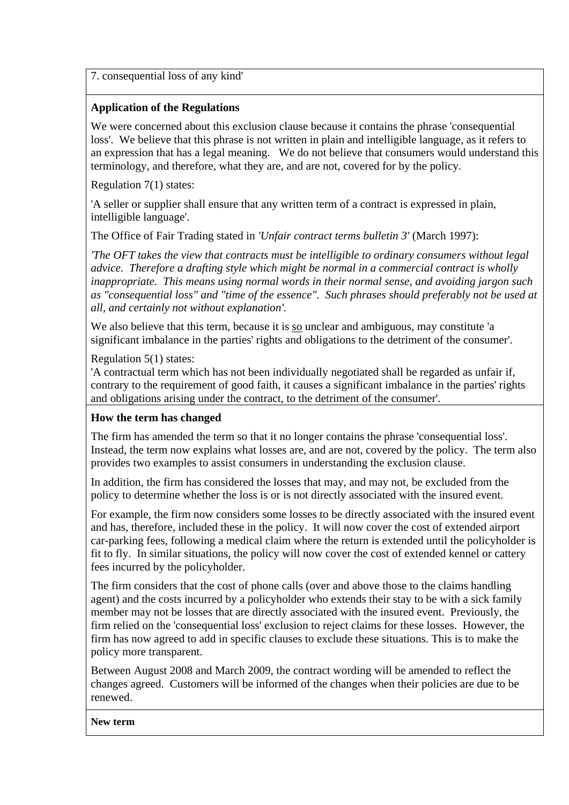7. consequential loss of any kind'

# **Application of the Regulations**

We were concerned about this exclusion clause because it contains the phrase 'consequential loss'. We believe that this phrase is not written in plain and intelligible language, as it refers to an expression that has a legal meaning. We do not believe that consumers would understand this terminology, and therefore, what they are, and are not, covered for by the policy.

Regulation 7(1) states:

'A seller or supplier shall ensure that any written term of a contract is expressed in plain, intelligible language'.

The Office of Fair Trading stated in *'Unfair contract terms bulletin 3'* (March 1997):

*'The OFT takes the view that contracts must be intelligible to ordinary consumers without legal advice. Therefore a drafting style which might be normal in a commercial contract is wholly inappropriate. This means using normal words in their normal sense, and avoiding jargon such as "consequential loss" and "time of the essence". Such phrases should preferably not be used at all, and certainly not without explanation'.* 

We also believe that this term, because it is so unclear and ambiguous, may constitute 'a significant imbalance in the parties' rights and obligations to the detriment of the consumer'.

Regulation 5(1) states:

'A contractual term which has not been individually negotiated shall be regarded as unfair if, contrary to the requirement of good faith, it causes a significant imbalance in the parties' rights and obligations arising under the contract, to the detriment of the consumer'.

## **How the term has changed**

The firm has amended the term so that it no longer contains the phrase 'consequential loss'. Instead, the term now explains what losses are, and are not, covered by the policy. The term also provides two examples to assist consumers in understanding the exclusion clause.

In addition, the firm has considered the losses that may, and may not, be excluded from the policy to determine whether the loss is or is not directly associated with the insured event.

For example, the firm now considers some losses to be directly associated with the insured event and has, therefore, included these in the policy. It will now cover the cost of extended airport car-parking fees, following a medical claim where the return is extended until the policyholder is fit to fly. In similar situations, the policy will now cover the cost of extended kennel or cattery fees incurred by the policyholder.

The firm considers that the cost of phone calls (over and above those to the claims handling agent) and the costs incurred by a policyholder who extends their stay to be with a sick family member may not be losses that are directly associated with the insured event. Previously, the firm relied on the 'consequential loss' exclusion to reject claims for these losses. However, the firm has now agreed to add in specific clauses to exclude these situations. This is to make the policy more transparent.

Between August 2008 and March 2009, the contract wording will be amended to reflect the changes agreed. Customers will be informed of the changes when their policies are due to be renewed.

**New term**